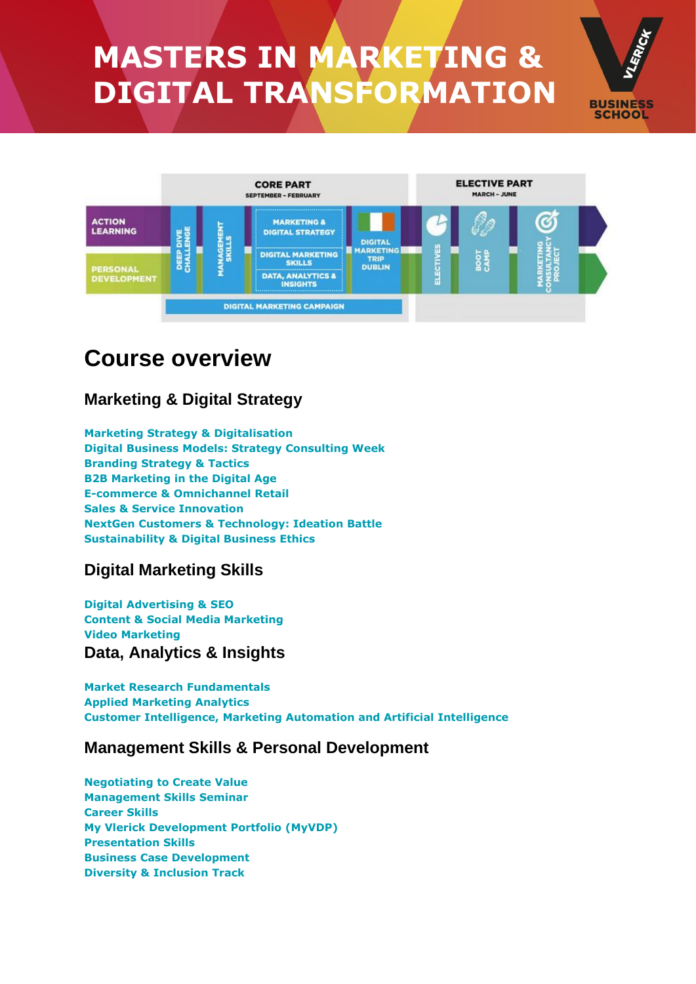# **MASTERS IN MARKETING & DIGITAL TRANSFORMATION**



**BUSINESS SCHOOL** 

# **Course overview**

### **Marketing & Digital Strategy**

**Marketing Strategy & [Digitalisation](javascript:;) Digital Business Models: Strategy [Consulting](javascript:;) Week [Branding](javascript:;) Strategy & Tactics B2B [Marketing](javascript:;) in the Digital Age E-commerce & [Omnichannel](javascript:;) Retail Sales & Service [Innovation](javascript:;) NextGen Customers & [Technology:](javascript:;) Ideation Battle [Sustainability](javascript:;) & Digital Business Ethics**

### **Digital Marketing Skills**

**Digital [Advertising](javascript:;) & SEO Content & Social Media [Marketing](javascript:;) Video [Marketing](javascript:;) Data, Analytics & Insights**

**Market Research [Fundamentals](javascript:;) Applied [Marketing](javascript:;) Analytics Customer [Intelligence,](javascript:;) Marketing Automation and Artificial Intelligence**

### **Management Skills & Personal Development**

**[Negotiating](javascript:;) to Create Value [Management](javascript:;) Skills Seminar [Career](javascript:;) Skills My Vlerick [Development](javascript:;) Portfolio (MyVDP) [Presentation](javascript:;) Skills Business Case [Development](javascript:;) Diversity & [Inclusion](javascript:;) Track**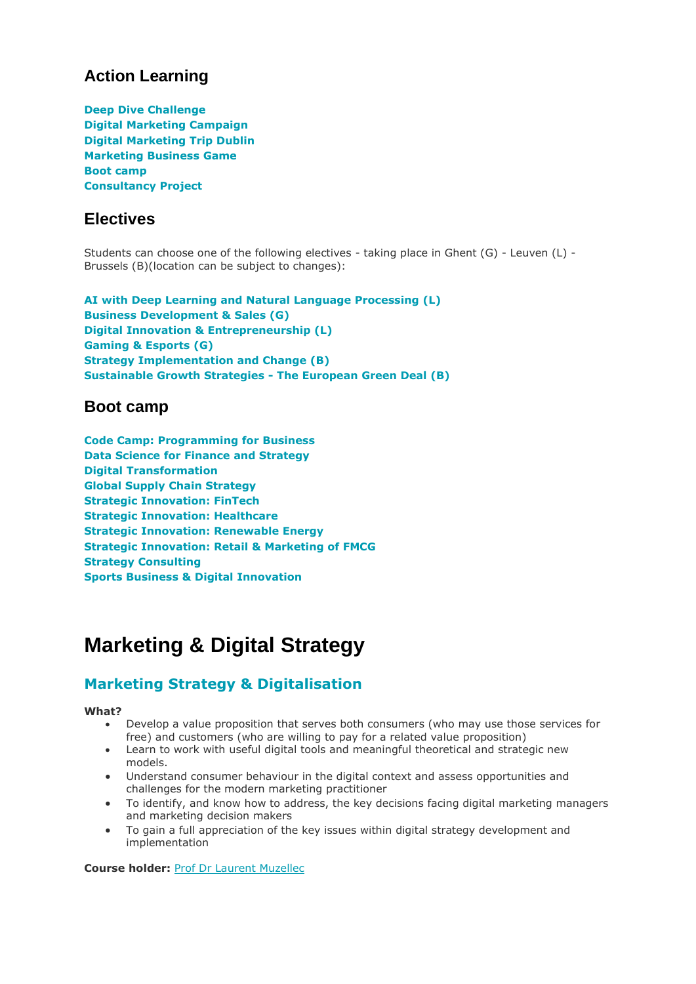### **Action Learning**

**Deep Dive [Challenge](javascript:;) Digital [Marketing](javascript:;) Campaign Digital [Marketing](javascript:;) Trip Dublin [Marketing](javascript:;) Business Game Boot [camp](javascript:;) [Consultancy](javascript:;) Project**

### **Electives**

Students can choose one of the following electives - taking place in Ghent (G) - Leuven (L) - Brussels (B)(location can be subject to changes):

**AI with Deep Learning and Natural Language [Processing](javascript:;) (L) Business [Development](javascript:;) & Sales (G) Digital Innovation & [Entrepreneurship](javascript:;) (L) [Gaming](javascript:;) & Esports (G) Strategy [Implementation](javascript:;) and Change (B) [Sustainable](javascript:;) Growth Strategies - The European Green Deal (B)**

### **Boot camp**

**Code Camp: [Programming](javascript:;) for Business Data Science for Finance and [Strategy](javascript:;) Digital [Transformation](javascript:;) Global Supply Chain [Strategy](javascript:;) Strategic [Innovation:](javascript:;) FinTech Strategic [Innovation:](javascript:;) Healthcare Strategic [Innovation:](javascript:;) Renewable Energy Strategic [Innovation:](javascript:;) Retail & Marketing of FMCG Strategy [Consulting](javascript:;) Sports Business & Digital [Innovation](javascript:;)**

# **Marketing & Digital Strategy**

### **Marketing Strategy & [Digitalisation](javascript:;)**

#### **What?**

- Develop a value proposition that serves both consumers (who may use those services for free) and customers (who are willing to pay for a related value proposition)
- Learn to work with useful digital tools and meaningful theoretical and strategic new models.
- Understand consumer behaviour in the digital context and assess opportunities and challenges for the modern marketing practitioner
- To identify, and know how to address, the key decisions facing digital marketing managers and marketing decision makers
- To gain a full appreciation of the key issues within digital strategy development and implementation

**Course holder:** Prof Dr Laurent [Muzellec](https://www.linkedin.com/in/laurentmuzellec/)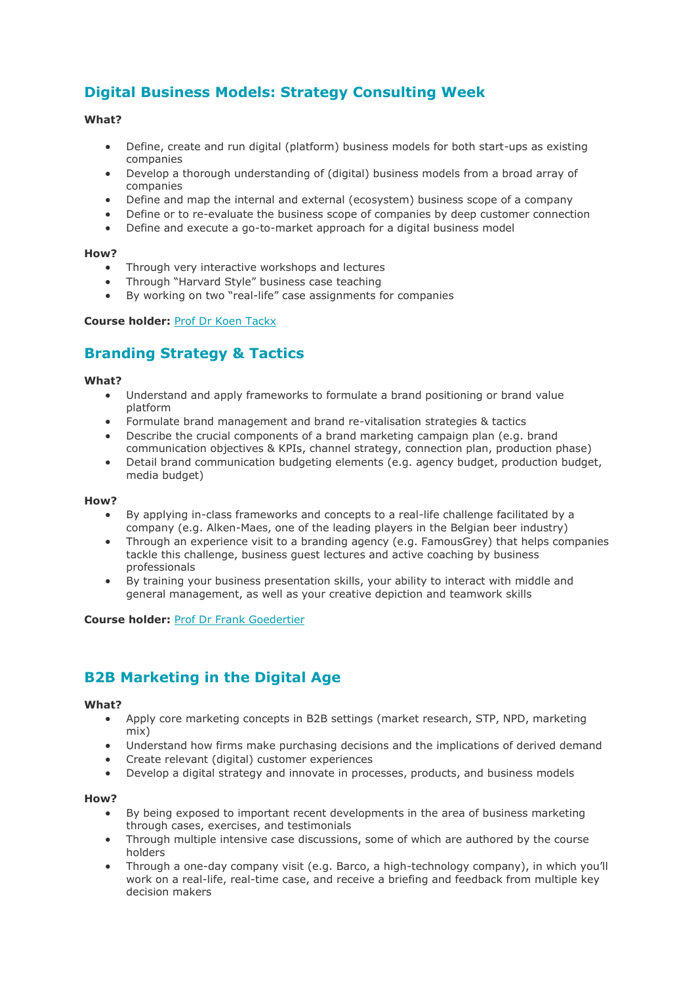### **Digital Business Models: Strategy [Consulting](javascript:;) Week**

#### **What?**

- Define, create and run digital (platform) business models for both start-ups as existing companies
- Develop a thorough understanding of (digital) business models from a broad array of companies
- Define and map the internal and external (ecosystem) business scope of a company
- Define or to re-evaluate the business scope of companies by deep customer connection
- Define and execute a go-to-market approach for a digital business model

#### **How?**

- Through very interactive workshops and lectures
- Through "Harvard Style" business case teaching
- By working on two "real-life" case assignments for companies

#### **Course holder:** Prof Dr Koen [Tackx](https://www.vlerick.com/en/research-and-faculty/faculty/koen-tackx)

### **[Branding](javascript:;) Strategy & Tactics**

#### **What?**

- Understand and apply frameworks to formulate a brand positioning or brand value platform
- Formulate brand management and brand re-vitalisation strategies & tactics
- Describe the crucial components of a brand marketing campaign plan (e.g. brand communication objectives & KPIs, channel strategy, connection plan, production phase)
- Detail brand communication budgeting elements (e.g. agency budget, production budget, media budget)

#### **How?**

- By applying in-class frameworks and concepts to a real-life challenge facilitated by a company (e.g. Alken-Maes, one of the leading players in the Belgian beer industry)
- Through an experience visit to a branding agency (e.g. FamousGrey) that helps companies tackle this challenge, business guest lectures and active coaching by business professionals
- By training your business presentation skills, your ability to interact with middle and general management, as well as your creative depiction and teamwork skills

**Course holder:** Prof Dr Frank [Goedertier](https://www.vlerick.com/en/research-and-faculty/faculty/frank-goedertier)

### **B2B [Marketing](javascript:;) in the Digital Age**

#### **What?**

- Apply core marketing concepts in B2B settings (market research, STP, NPD, marketing mix)
- Understand how firms make purchasing decisions and the implications of derived demand
- Create relevant (digital) customer experiences
- Develop a digital strategy and innovate in processes, products, and business models

#### **How?**

- By being exposed to important recent developments in the area of business marketing through cases, exercises, and testimonials
- Through multiple intensive case discussions, some of which are authored by the course holders
- Through a one-day company visit (e.g. Barco, a high-technology company), in which you'll work on a real-life, real-time case, and receive a briefing and feedback from multiple key decision makers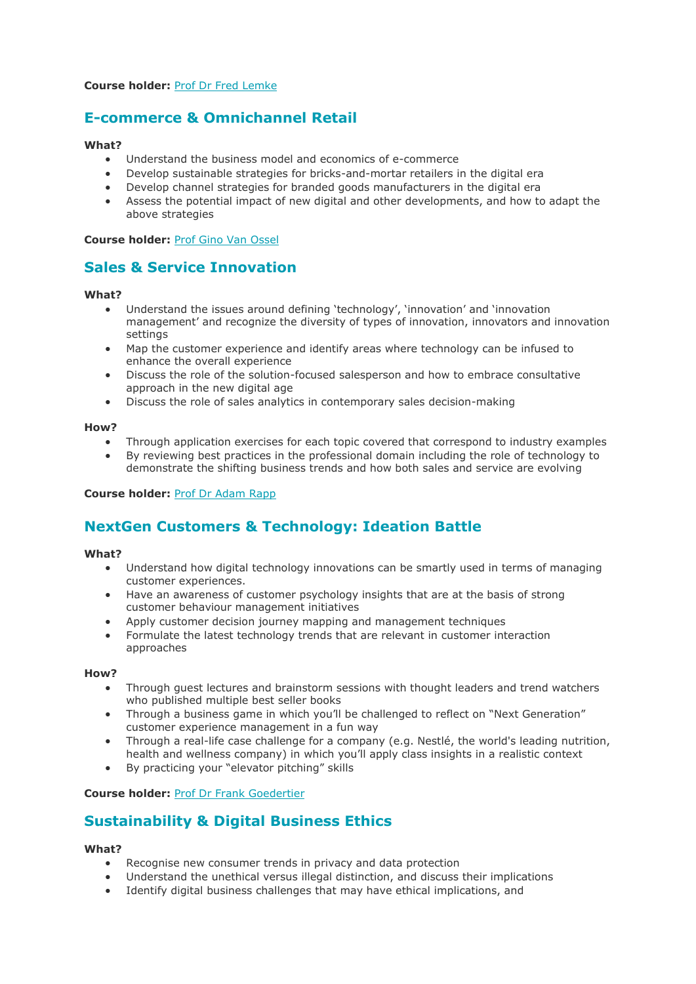#### **Course holder:** Prof Dr Fred [Lemke](https://www.vlerick.com/en/research-and-faculty/faculty/fred-lemke)

### **E-commerce & [Omnichannel](javascript:;) Retail**

#### **What?**

- Understand the business model and economics of e-commerce
- Develop sustainable strategies for bricks-and-mortar retailers in the digital era
- Develop channel strategies for branded goods manufacturers in the digital era
- Assess the potential impact of new digital and other developments, and how to adapt the above strategies

**Course holder:** Prof Gino Van [Ossel](https://www.vlerick.com/en/research-and-faculty/faculty/gino-van-ossel)

### **Sales & Service [Innovation](javascript:;)**

#### **What?**

- Understand the issues around defining 'technology', 'innovation' and 'innovation management' and recognize the diversity of types of innovation, innovators and innovation settings
- Map the customer experience and identify areas where technology can be infused to enhance the overall experience
- Discuss the role of the solution-focused salesperson and how to embrace consultative approach in the new digital age
- Discuss the role of sales analytics in contemporary sales decision-making

#### **How?**

- Through application exercises for each topic covered that correspond to industry examples
- By reviewing best practices in the professional domain including the role of technology to demonstrate the shifting business trends and how both sales and service are evolving

#### **Course holder:** Prof Dr [Adam](https://www.vlerick.com/en/research-and-faculty/faculty/adam-rapp) Rapp

### **NextGen Customers & [Technology:](javascript:;) Ideation Battle**

#### **What?**

- Understand how digital technology innovations can be smartly used in terms of managing customer experiences.
- Have an awareness of customer psychology insights that are at the basis of strong customer behaviour management initiatives
- Apply customer decision journey mapping and management techniques
- Formulate the latest technology trends that are relevant in customer interaction approaches

#### **How?**

- Through guest lectures and brainstorm sessions with thought leaders and trend watchers who published multiple best seller books
- Through a business game in which you'll be challenged to reflect on "Next Generation" customer experience management in a fun way
- Through a real-life case challenge for a company (e.g. Nestlé, the world's leading nutrition, health and wellness company) in which you'll apply class insights in a realistic context
- By practicing your "elevator pitching" skills

#### **Course holder:** Prof Dr Frank [Goedertier](https://www.vlerick.com/en/research-and-faculty/faculty/frank-goedertier)

### **[Sustainability](javascript:;) & Digital Business Ethics**

#### **What?**

- Recognise new consumer trends in privacy and data protection
- Understand the unethical versus illegal distinction, and discuss their implications
- Identify digital business challenges that may have ethical implications, and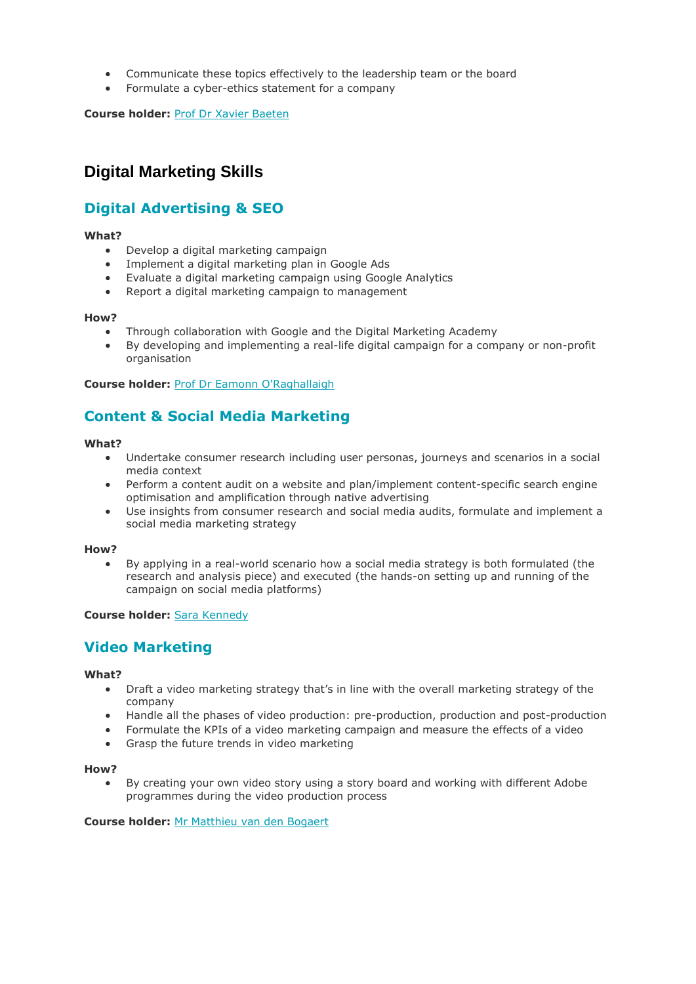- Communicate these topics effectively to the leadership team or the board
- Formulate a cyber-ethics statement for a company

**Course holder:** Prof Dr Xavier [Baeten](https://www.vlerick.com/en/research-and-faculty/faculty/xavier-baeten)

### **Digital Marketing Skills**

### **Digital [Advertising](javascript:;) & SEO**

#### **What?**

- Develop a digital marketing campaign
- Implement a digital marketing plan in Google Ads
- Evaluate a digital marketing campaign using Google Analytics
- Report a digital marketing campaign to management

#### **How?**

- Through collaboration with Google and the Digital Marketing Academy
- By developing and implementing a real-life digital campaign for a company or non-profit organisation

**Course holder:** Prof Dr Eamonn [O'Raghallaigh](https://www.vlerick.com/en/research-and-faculty/faculty/eamonn-oraghallaigh)

### **Content & Social Media [Marketing](javascript:;)**

#### **What?**

- Undertake consumer research including user personas, journeys and scenarios in a social media context
- Perform a content audit on a website and plan/implement content-specific search engine optimisation and amplification through native advertising
- Use insights from consumer research and social media audits, formulate and implement a social media marketing strategy

#### **How?**

• By applying in a real-world scenario how a social media strategy is both formulated (the research and analysis piece) and executed (the hands-on setting up and running of the campaign on social media platforms)

#### **Course holder:** Sara [Kennedy](https://www.linkedin.com/in/sara-kennedy-47780b1b/)

### **Video [Marketing](javascript:;)**

#### **What?**

- Draft a video marketing strategy that's in line with the overall marketing strategy of the company
- Handle all the phases of video production: pre-production, production and post-production
- Formulate the KPIs of a video marketing campaign and measure the effects of a video
- Grasp the future trends in video marketing

#### **How?**

By creating your own video story using a story board and working with different Adobe programmes during the video production process

**Course holder:** Mr [Matthieu](https://www.linkedin.com/in/yudai) van den Bogaert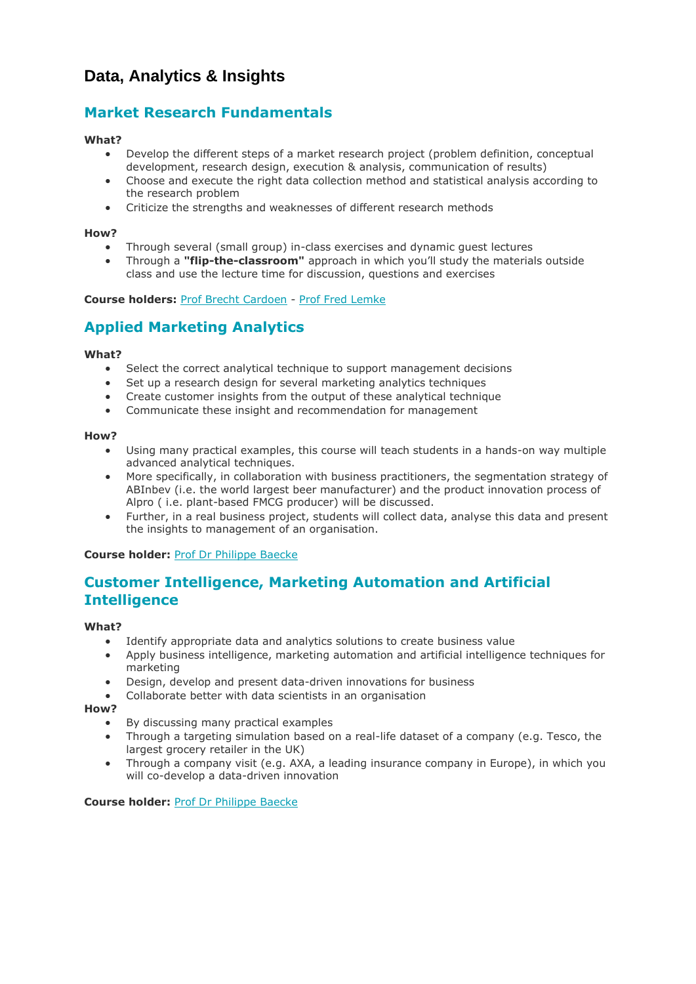### **Data, Analytics & Insights**

### **Market Research [Fundamentals](javascript:;)**

#### **What?**

- Develop the different steps of a market research project (problem definition, conceptual development, research design, execution & analysis, communication of results)
- Choose and execute the right data collection method and statistical analysis according to the research problem
- Criticize the strengths and weaknesses of different research methods

#### **How?**

- Through several (small group) in-class exercises and dynamic guest lectures
- Through a **"flip-the-classroom"** approach in which you'll study the materials outside class and use the lecture time for discussion, questions and exercises

#### **Course holders:** Prof Brecht [Cardoen](https://www.vlerick.com/en/research-and-faculty/faculty/brecht-cardoen) - Prof Fred [Lemke](https://www.vlerick.com/en/research-and-faculty/faculty/fred-lemke)

### **Applied [Marketing](javascript:;) Analytics**

#### **What?**

- Select the correct analytical technique to support management decisions
- Set up a research design for several marketing analytics techniques
- Create customer insights from the output of these analytical technique
- Communicate these insight and recommendation for management

#### **How?**

- Using many practical examples, this course will teach students in a hands-on way multiple advanced analytical techniques.
- More specifically, in collaboration with business practitioners, the segmentation strategy of ABInbev (i.e. the world largest beer manufacturer) and the product innovation process of Alpro ( i.e. plant-based FMCG producer) will be discussed.
- Further, in a real business project, students will collect data, analyse this data and present the insights to management of an organisation.

#### **Course holder:** Prof Dr [Philippe](https://www.vlerick.com/en/research-and-faculty/faculty/philippe-baecke) Baecke

### **Customer [Intelligence,](javascript:;) Marketing Automation and Artificial [Intelligence](javascript:;)**

#### **What?**

- Identify appropriate data and analytics solutions to create business value
- Apply business intelligence, marketing automation and artificial intelligence techniques for marketing
- Design, develop and present data-driven innovations for business
- Collaborate better with data scientists in an organisation

#### **How?**

- By discussing many practical examples
- Through a targeting simulation based on a real-life dataset of a company (e.g. Tesco, the largest grocery retailer in the UK)
- Through a company visit (e.g. AXA, a leading insurance company in Europe), in which you will co-develop a data-driven innovation

**Course holder:** Prof Dr [Philippe](https://www.vlerick.com/en/research-and-faculty/faculty/philippe-baecke) Baecke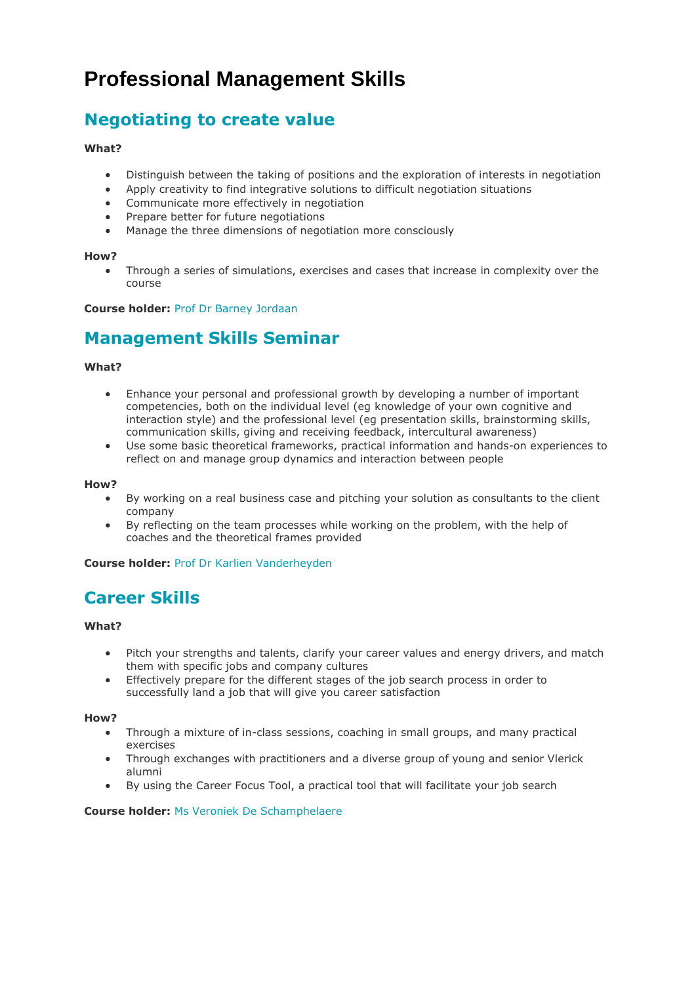# **Professional Management Skills**

### **[Negotiating](javascript:;) to create value**

#### **What?**

- Distinguish between the taking of positions and the exploration of interests in negotiation
- Apply creativity to find integrative solutions to difficult negotiation situations
- Communicate more effectively in negotiation
- Prepare better for future negotiations
- Manage the three dimensions of negotiation more consciously

#### **How?**

• Through a series of simulations, exercises and cases that increase in complexity over the course

**Course holder:** Prof Dr Barney [Jordaan](https://www.vlerick.com/en/research-and-faculty/faculty/barney-jordaan)

### **[Management](javascript:;) Skills Seminar**

#### **What?**

- Enhance your personal and professional growth by developing a number of important competencies, both on the individual level (eg knowledge of your own cognitive and interaction style) and the professional level (eg presentation skills, brainstorming skills, communication skills, giving and receiving feedback, intercultural awareness)
- Use some basic theoretical frameworks, practical information and hands-on experiences to reflect on and manage group dynamics and interaction between people

#### **How?**

- By working on a real business case and pitching your solution as consultants to the client company
- By reflecting on the team processes while working on the problem, with the help of coaches and the theoretical frames provided

**Course holder:** Prof Dr Karlien [Vanderheyden](https://www.vlerick.com/en/research-and-faculty/faculty/karlien-vanderheyden)

### **[Career](javascript:;) Skills**

#### **What?**

- Pitch your strengths and talents, clarify your career values and energy drivers, and match them with specific jobs and company cultures
- Effectively prepare for the different stages of the job search process in order to successfully land a job that will give you career satisfaction

**How?**

- Through a mixture of in-class sessions, coaching in small groups, and many practical exercises
- Through exchanges with practitioners and a diverse group of young and senior Vlerick alumni
- By using the Career Focus Tool, a practical tool that will facilitate your job search

#### **Course holder:** Ms Veroniek De [Schamphelaere](https://www.vlerick.com/en/research-and-faculty/faculty/veroniek-de-schamphelaere)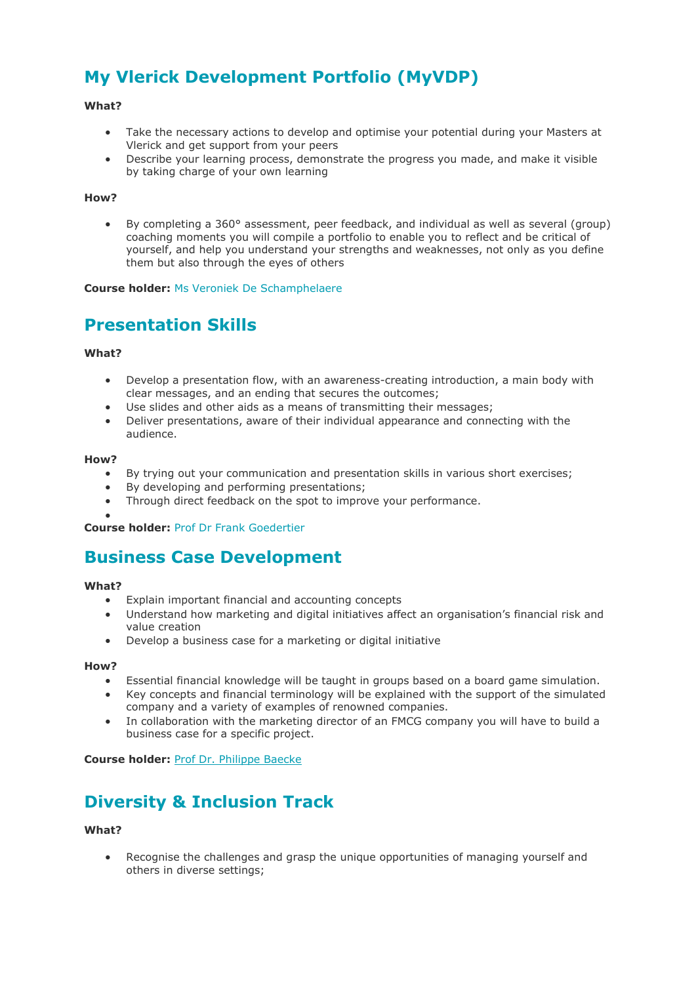# **My Vlerick [Development](javascript:;) Portfolio (MyVDP)**

#### **What?**

- Take the necessary actions to develop and optimise your potential during your Masters at Vlerick and get support from your peers
- Describe your learning process, demonstrate the progress you made, and make it visible by taking charge of your own learning

#### **How?**

• By completing a 360° assessment, peer feedback, and individual as well as several (group) coaching moments you will compile a portfolio to enable you to reflect and be critical of yourself, and help you understand your strengths and weaknesses, not only as you define them but also through the eyes of others

**Course holder:** Ms Veroniek De [Schamphelaere](https://www.vlerick.com/en/research-and-faculty/faculty/veroniek-de-schamphelaere)

### **[Presentation](javascript:;) Skills**

#### **What?**

- Develop a presentation flow, with an awareness-creating introduction, a main body with clear messages, and an ending that secures the outcomes;
- Use slides and other aids as a means of transmitting their messages:
- Deliver presentations, aware of their individual appearance and connecting with the audience.

#### **How?**

- By trying out your communication and presentation skills in various short exercises;
- By developing and performing presentations;
- Through direct feedback on the spot to improve your performance.

• **Course holder:** Prof Dr Frank [Goedertier](https://www.vlerick.com/en/research-and-faculty/faculty/frank-goedertier)

### **Business Case [Development](javascript:;)**

#### **What?**

- Explain important financial and accounting concepts
- Understand how marketing and digital initiatives affect an organisation's financial risk and value creation
- Develop a business case for a marketing or digital initiative

#### **How?**

- Essential financial knowledge will be taught in groups based on a board game simulation.
- Key concepts and financial terminology will be explained with the support of the simulated company and a variety of examples of renowned companies.
- In collaboration with the marketing director of an FMCG company you will have to build a business case for a specific project.

**Course holder:** Prof Dr. [Philippe](https://www.vlerick.com/en/research-and-faculty/faculty/philippe-baecke) Baecke

## **Diversity & [Inclusion](javascript:;) Track**

#### **What?**

• Recognise the challenges and grasp the unique opportunities of managing yourself and others in diverse settings;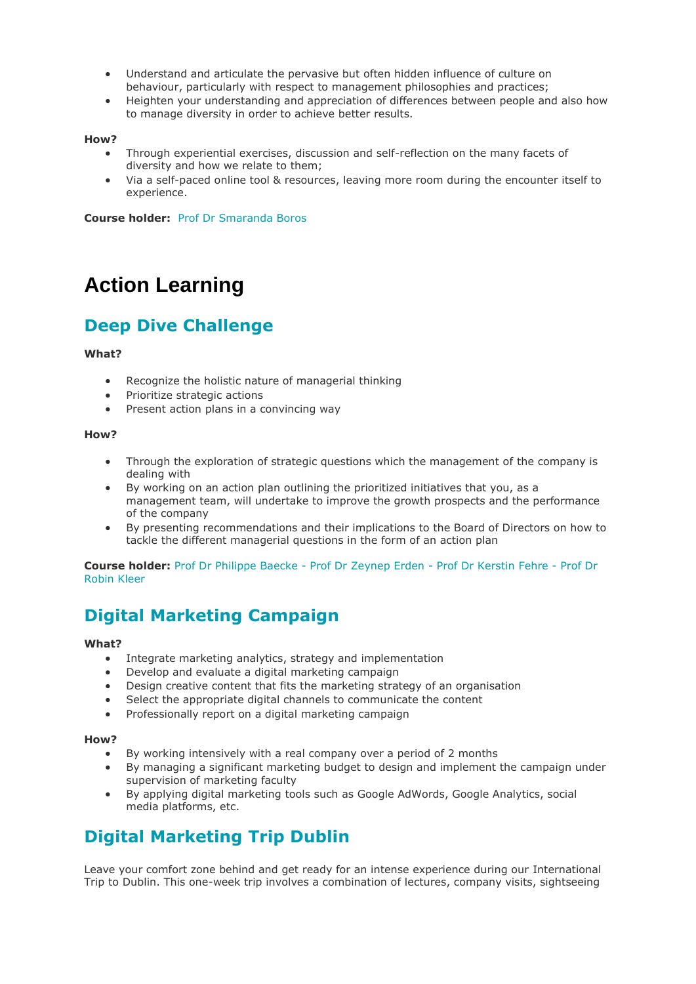- Understand and articulate the pervasive but often hidden influence of culture on behaviour, particularly with respect to management philosophies and practices;
- Heighten your understanding and appreciation of differences between people and also how to manage diversity in order to achieve better results.

#### **How?**

- Through experiential exercises, discussion and self-reflection on the many facets of diversity and how we relate to them;
- Via a self-paced online tool & resources, leaving more room during the encounter itself to experience.

**Course holder:** Prof Dr [Smaranda](https://www.vlerick.com/en/research-and-faculty/faculty/smaranda-boros) Boros

# **Action Learning**

### **Deep Dive [Challenge](javascript:;)**

#### **What?**

- Recognize the holistic nature of managerial thinking
- Prioritize strategic actions
- Present action plans in a convincing way

#### **How?**

- Through the exploration of strategic questions which the management of the company is dealing with
- By working on an action plan outlining the prioritized initiatives that you, as a management team, will undertake to improve the growth prospects and the performance of the company
- By presenting recommendations and their implications to the Board of Directors on how to tackle the different managerial questions in the form of an action plan

#### **Course holder:** Prof Dr [Philippe](https://www.vlerick.com/en/research-and-faculty/faculty/philippe-baecke) Baecke - Prof Dr [Zeynep](https://www.vlerick.com/en/research-and-faculty/faculty/zeynep-erden) Erden - Prof Dr [Kerstin](https://www.vlerick.com/en/research-and-faculty/faculty/kerstin-fehre) Fehre - [Prof](https://www.vlerick.com/en/research-and-faculty/faculty/robin-kleer) Dr [Robin](https://www.vlerick.com/en/research-and-faculty/faculty/robin-kleer) Kleer

### **Digital [Marketing](javascript:;) Campaign**

#### **What?**

- Integrate marketing analytics, strategy and implementation
- Develop and evaluate a digital marketing campaign
- Design creative content that fits the marketing strategy of an organisation
- Select the appropriate digital channels to communicate the content
- Professionally report on a digital marketing campaign

#### **How?**

- By working intensively with a real company over a period of 2 months
- By managing a significant marketing budget to design and implement the campaign under supervision of marketing faculty
- By applying digital marketing tools such as Google AdWords, Google Analytics, social media platforms, etc.

### **Digital [Marketing](javascript:;) Trip Dublin**

Leave your comfort zone behind and get ready for an intense experience during our International Trip to Dublin. This one-week trip involves a combination of lectures, company visits, sightseeing